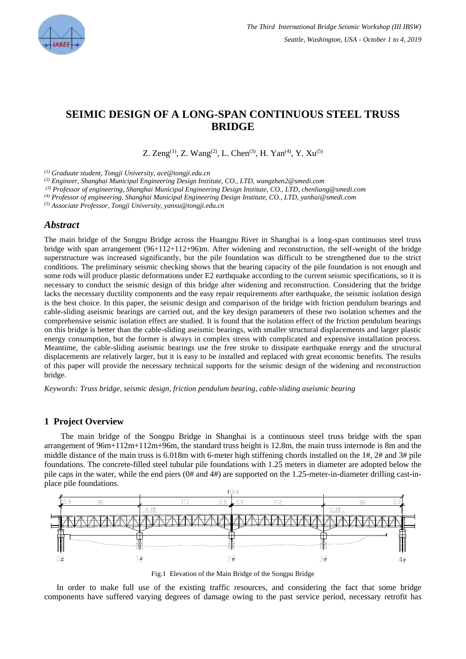

# **SEIMIC DESIGN OF A LONG-SPAN CONTINUOUS STEEL TRUSS BRIDGE**

Z. Zeng<sup>(1)</sup>, Z. Wang<sup>(2)</sup>, L. Chen<sup>(3)</sup>, H. Yan<sup>(4)</sup>, Y. Xu<sup>(5)</sup>

*(1) Graduate student, Tongji University, ace@tongji.edu.cn* 

*(2) Engineer, Shanghai Municipal Engineering Design Institute, CO., LTD, wangzhen2@smedi.com*

*(3) Professor of engineering, Shanghai Municipal Engineering Design Institute, CO., LTD, chenliang@smedi.com*

*(4) Professor of engineering, Shanghai Municipal Engineering Design Institute, CO., LTD, yanhai@smedi.com*

*(5) Associate Professor, Tongji University, yanxu@tongji.edu.cn*

## *Abstract*

The main bridge of the Songpu Bridge across the Huangpu River in Shanghai is a long-span continuous steel truss bridge with span arrangement (96+112+112+96)m. After widening and reconstruction, the self-weight of the bridge superstructure was increased significantly, but the pile foundation was difficult to be strengthened due to the strict conditions. The preliminary seismic checking shows that the bearing capacity of the pile foundation is not enough and some rods will produce plastic deformations under E2 earthquake according to the current seismic specifications, so it is necessary to conduct the seismic design of this bridge after widening and reconstruction. Considering that the bridge lacks the necessary ductility components and the easy repair requirements after earthquake, the seismic isolation design is the best choice. In this paper, the seismic design and comparison of the bridge with friction pendulum bearings and cable-sliding aseismic bearings are carried out, and the key design parameters of these two isolation schemes and the comprehensive seismic isolation effect are studied. It is found that the isolation effect of the friction pendulum bearings on this bridge is better than the cable-sliding aseismic bearings, with smaller structural displacements and larger plastic energy consumption, but the former is always in complex stress with complicated and expensive installation process. Meantime, the cable-sliding aseismic bearings use the free stroke to dissipate earthquake energy and the structural displacements are relatively larger, but it is easy to be installed and replaced with great economic benefits. The results of this paper will provide the necessary technical supports for the seismic design of the widening and reconstruction bridge.

*Keywords: Truss bridge, seismic design, friction pendulum bearing, cable-sliding aseismic bearing*

### **1 Project Overview**

The main bridge of the Songpu Bridge in Shanghai is a continuous steel truss bridge with the span arrangement of 96m+112m+112m+96m, the standard truss height is 12.8m, the main truss internode is 8m and the middle distance of the main truss is 6.018m with 6-meter high stiffening chords installed on the 1#, 2# and 3# pile foundations. The concrete-filled steel tubular pile foundations with 1.25 meters in diameter are adopted below the pile caps in the water, while the end piers (0# and 4#) are supported on the 1.25-meter-in-diameter drilling cast-inplace pile foundations.



Fig.1 Elevation of the Main Bridge of the Songpu Bridge

In order to make full use of the existing traffic resources, and considering the fact that some bridge components have suffered varying degrees of damage owing to the past service period, necessary retrofit has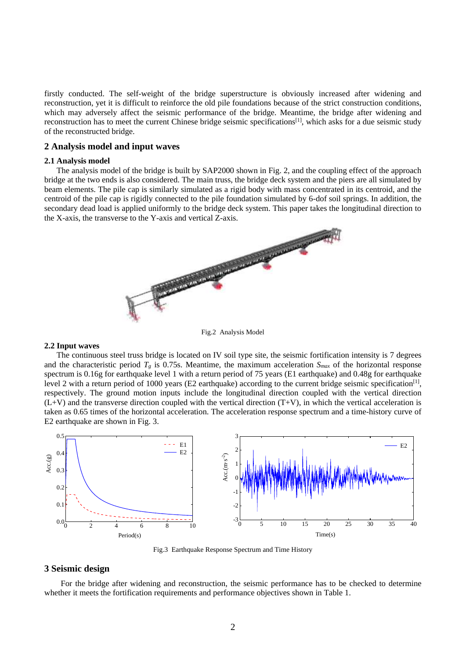firstly conducted. The self-weight of the bridge superstructure is obviously increased after widening and reconstruction, yet it is difficult to reinforce the old pile foundations because of the strict construction conditions, which may adversely affect the seismic performance of the bridge. Meantime, the bridge after widening and reconstruction has to meet the current Chinese bridge seismic specifications[1], which asks for a due seismic study of the reconstructed bridge.

#### **2 Analysis model and input waves**

#### **2.1 Analysis model**

The analysis model of the bridge is built by SAP2000 shown in Fig. 2, and the coupling effect of the approach bridge at the two ends is also considered. The main truss, the bridge deck system and the piers are all simulated by beam elements. The pile cap is similarly simulated as a rigid body with mass concentrated in its centroid, and the centroid of the pile cap is rigidly connected to the pile foundation simulated by 6-dof soil springs. In addition, the secondary dead load is applied uniformly to the bridge deck system. This paper takes the longitudinal direction to the X-axis, the transverse to the Y-axis and vertical Z-axis.



Fig.2 Analysis Model

#### **2.2 Input waves**

The continuous steel truss bridge is located on IV soil type site, the seismic fortification intensity is 7 degrees and the characteristic period  $T_g$  is 0.75s. Meantime, the maximum acceleration  $S_{max}$  of the horizontal response spectrum is 0.16g for earthquake level 1 with a return period of 75 years (E1 earthquake) and 0.48g for earthquake level 2 with a return period of 1000 years (E2 earthquake) according to the current bridge seismic specification<sup>[1]</sup>, respectively. The ground motion inputs include the longitudinal direction coupled with the vertical direction  $(L+V)$  and the transverse direction coupled with the vertical direction  $(T+V)$ , in which the vertical acceleration is taken as 0.65 times of the horizontal acceleration. The acceleration response spectrum and a time-history curve of E2 earthquake are shown in Fig. 3.



Fig.3 Earthquake Response Spectrum and Time History

## **3 Seismic design**

For the bridge after widening and reconstruction, the seismic performance has to be checked to determine whether it meets the fortification requirements and performance objectives shown in Table 1.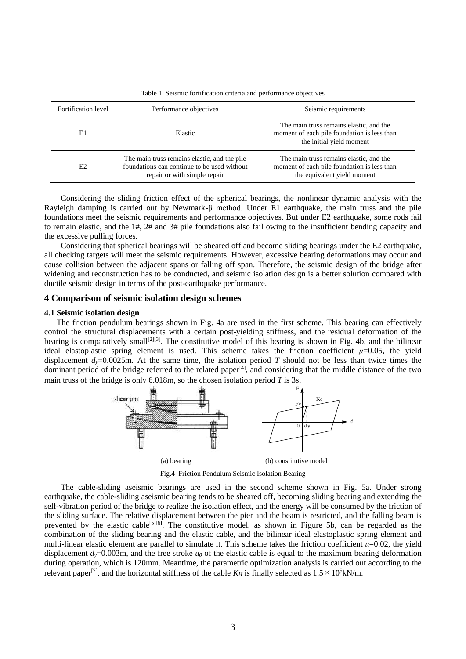| Fortification level | Performance objectives                                                                                                      | Seismic requirements                                                                                                  |
|---------------------|-----------------------------------------------------------------------------------------------------------------------------|-----------------------------------------------------------------------------------------------------------------------|
| E1                  | Elastic                                                                                                                     | The main truss remains elastic, and the<br>moment of each pile foundation is less than<br>the initial yield moment    |
| E2                  | The main truss remains elastic, and the pile<br>foundations can continue to be used without<br>repair or with simple repair | The main truss remains elastic, and the<br>moment of each pile foundation is less than<br>the equivalent yield moment |

Table 1 Seismic fortification criteria and performance objectives

Considering the sliding friction effect of the spherical bearings, the nonlinear dynamic analysis with the Rayleigh damping is carried out by Newmark-β method. Under E1 earthquake, the main truss and the pile foundations meet the seismic requirements and performance objectives. But under E2 earthquake, some rods fail to remain elastic, and the 1#, 2# and 3# pile foundations also fail owing to the insufficient bending capacity and the excessive pulling forces.

Considering that spherical bearings will be sheared off and become sliding bearings under the E2 earthquake, all checking targets will meet the seismic requirements. However, excessive bearing deformations may occur and cause collision between the adjacent spans or falling off span. Therefore, the seismic design of the bridge after widening and reconstruction has to be conducted, and seismic isolation design is a better solution compared with ductile seismic design in terms of the post-earthquake performance.

#### **4 Comparison of seismic isolation design schemes**

#### **4.1 Seismic isolation design**

The friction pendulum bearings shown in Fig. 4a are used in the first scheme. This bearing can effectively control the structural displacements with a certain post-yielding stiffness, and the residual deformation of the bearing is comparatively small<sup>[2][3]</sup>. The constitutive model of this bearing is shown in Fig. 4b, and the bilinear ideal elastoplastic spring element is used. This scheme takes the friction coefficient  $\mu$ =0.05, the yield displacement  $d_y=0.0025$ m. At the same time, the isolation period *T* should not be less than twice times the dominant period of the bridge referred to the related paper<sup>[4]</sup>, and considering that the middle distance of the two main truss of the bridge is only 6.018m, so the chosen isolation period *T* is 3s.



Fig.4 Friction Pendulum Seismic Isolation Bearing

The cable-sliding aseismic bearings are used in the second scheme shown in Fig. 5a. Under strong earthquake, the cable-sliding aseismic bearing tends to be sheared off, becoming sliding bearing and extending the self-vibration period of the bridge to realize the isolation effect, and the energy will be consumed by the friction of the sliding surface. The relative displacement between the pier and the beam is restricted, and the falling beam is prevented by the elastic cable<sup>[5][6]</sup>. The constitutive model, as shown in Figure 5b, can be regarded as the combination of the sliding bearing and the elastic cable, and the bilinear ideal elastoplastic spring element and multi-linear elastic element are parallel to simulate it. This scheme takes the friction coefficient  $\mu$ =0.02, the yield displacement  $d_y=0.003$ m, and the free stroke  $u_0$  of the elastic cable is equal to the maximum bearing deformation during operation, which is 120mm. Meantime, the parametric optimization analysis is carried out according to the relevant paper<sup>[7]</sup>, and the horizontal stiffness of the cable  $K_H$  is finally selected as  $1.5 \times 10^5$ kN/m.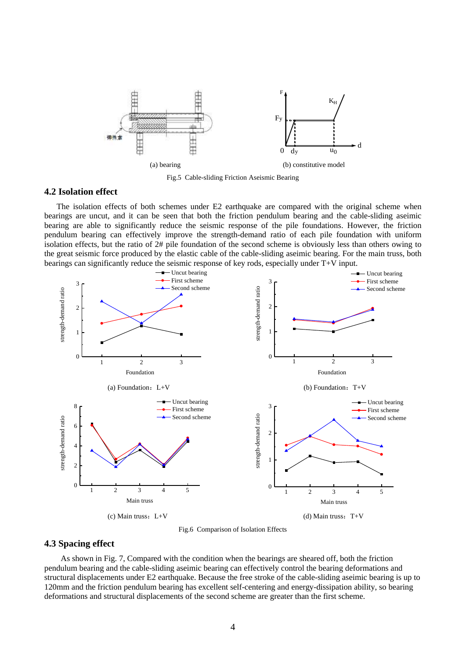

Fig.5 Cable-sliding Friction Aseismic Bearing

## **4.2 Isolation effect**

The isolation effects of both schemes under E2 earthquake are compared with the original scheme when bearings are uncut, and it can be seen that both the friction pendulum bearing and the cable-sliding aseimic bearing are able to significantly reduce the seismic response of the pile foundations. However, the friction pendulum bearing can effectively improve the strength-demand ratio of each pile foundation with uniform isolation effects, but the ratio of 2# pile foundation of the second scheme is obviously less than others owing to the great seismic force produced by the elastic cable of the cable-sliding aseimic bearing. For the main truss, both bearings can significantly reduce the seismic response of key rods, especially under T+V input.



Fig.6 Comparison of Isolation Effects

## **4.3 Spacing effect**

As shown in Fig. 7, Compared with the condition when the bearings are sheared off, both the friction pendulum bearing and the cable-sliding aseimic bearing can effectively control the bearing deformations and structural displacements under E2 earthquake. Because the free stroke of the cable-sliding aseimic bearing is up to 120mm and the friction pendulum bearing has excellent self-centering and energy-dissipation ability, so bearing deformations and structural displacements of the second scheme are greater than the first scheme.